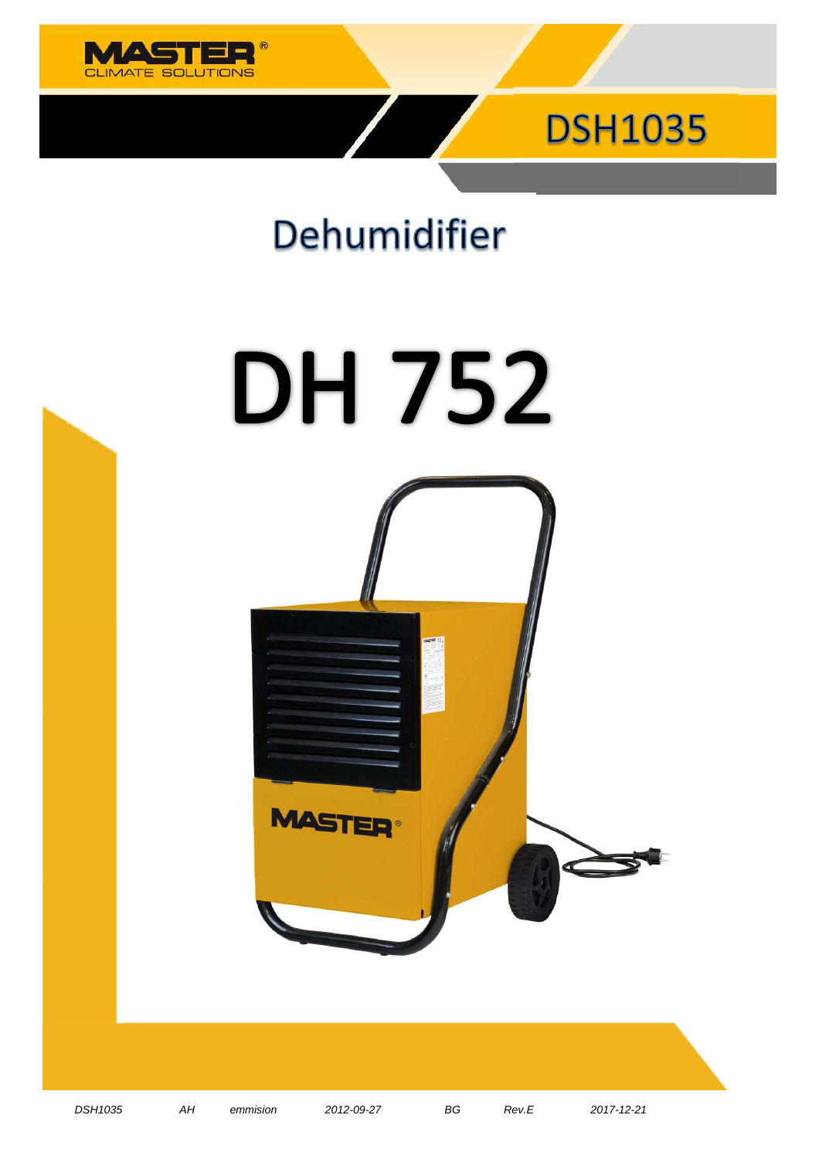



# Dehumidifier

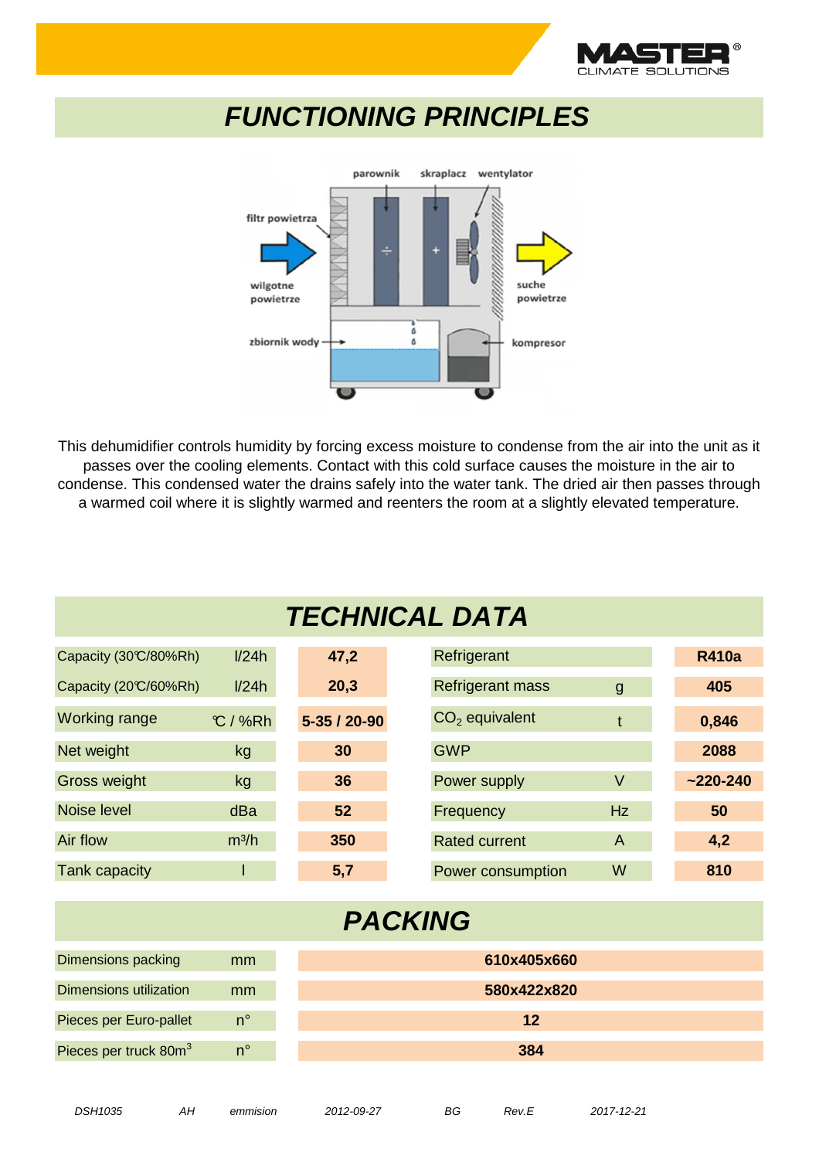

## **FUNCTIONING PRINCIPLES**



This dehumidifier controls humidity by forcing excess moisture to condense from the air into the unit as it passes over the cooling elements. Contact with this cold surface causes the moisture in the air to condense. This condensed water the drains safely into the water tank. The dried air then passes through a warmed coil where it is slightly warmed and reenters the room at a slightly elevated temperature.

### **TECHNICAL DATA**

| Capacity (30°C/80%Rh)             | I/24h             | 47,2         | Refrigerant             |              | <b>R410a</b> |  |
|-----------------------------------|-------------------|--------------|-------------------------|--------------|--------------|--|
| Capacity (20°C/60%Rh)             | I/24h             | 20,3         | <b>Refrigerant mass</b> | $\mathsf{g}$ | 405          |  |
| <b>Working range</b>              | $C / \%Rh$        | 5-35 / 20-90 | $CO2$ equivalent        | $\mathbf{t}$ | 0,846        |  |
| Net weight                        | kg                | 30           | <b>GWP</b>              |              | 2088         |  |
| Gross weight                      | kg                | 36           | Power supply            | $\vee$       | $~220 - 240$ |  |
| Noise level                       | dBa               | 52           | Frequency               | <b>Hz</b>    | 50           |  |
| Air flow                          | m <sup>3</sup> /h | 350          | <b>Rated current</b>    | $\mathsf{A}$ | 4,2          |  |
| Tank capacity                     | L                 | 5,7          | Power consumption       | W            | 810          |  |
| <b>PACKING</b>                    |                   |              |                         |              |              |  |
| <b>Dimensions packing</b>         | mm                |              | 610x405x660             |              |              |  |
| <b>Dimensions utilization</b>     | mm                |              | 580x422x820             |              |              |  |
| Pieces per Euro-pallet            | $n^{\circ}$       |              | 12                      |              |              |  |
| Pieces per truck 80m <sup>3</sup> | $n^{\circ}$       |              | 384                     |              |              |  |
|                                   |                   |              |                         |              |              |  |